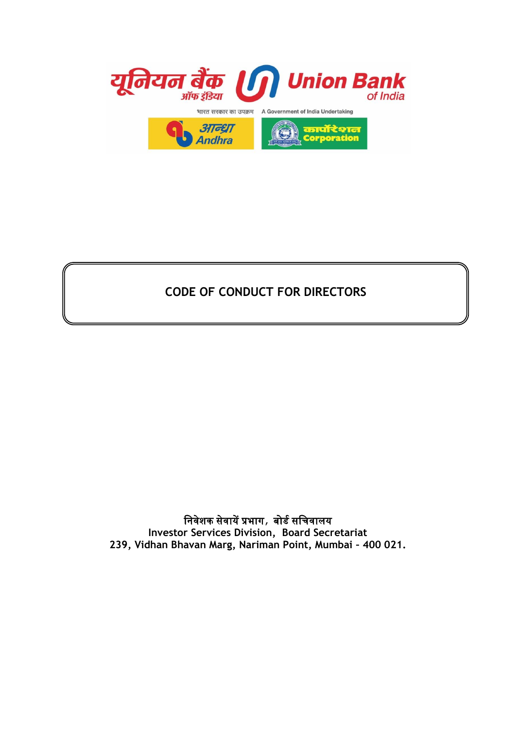

# **CODE OF CONDUCT FOR DIRECTORS**

## निवेशक सेवायें प्रभाग, बोर्ड सनिवालय **Investor Services Division, Board Secretariat 239, Vidhan Bhavan Marg, Nariman Point, Mumbai – 400 021.**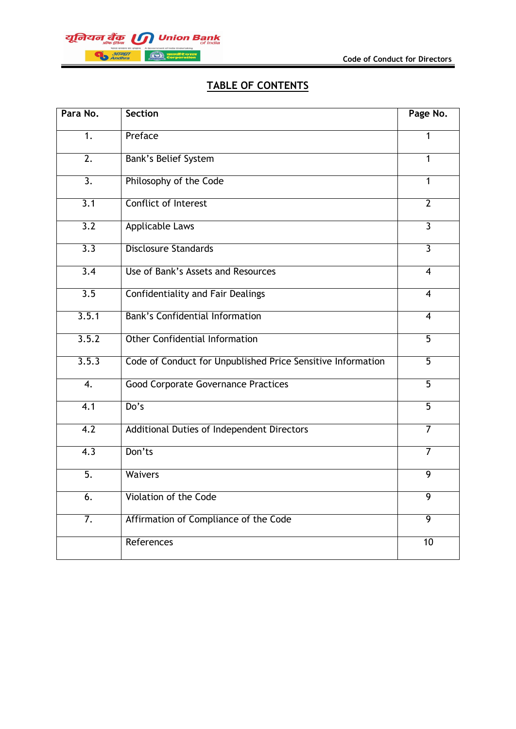

## **TABLE OF CONTENTS**

| Para No.         | <b>Section</b>                                              | Page No.       |
|------------------|-------------------------------------------------------------|----------------|
| $\overline{1}$ . | Preface                                                     | $\mathbf{1}$   |
| $\overline{2}$ . | <b>Bank's Belief System</b>                                 | 1              |
| $\overline{3}$ . | Philosophy of the Code                                      | $\mathbf{1}$   |
| 3.1              | <b>Conflict of Interest</b>                                 | $\overline{2}$ |
| $\overline{3.2}$ | <b>Applicable Laws</b>                                      | $\overline{3}$ |
| 3.3              | <b>Disclosure Standards</b>                                 | $\overline{3}$ |
| $\overline{3.4}$ | Use of Bank's Assets and Resources                          | $\overline{4}$ |
| $\overline{3.5}$ | <b>Confidentiality and Fair Dealings</b>                    | $\overline{4}$ |
| 3.5.1            | <b>Bank's Confidential Information</b>                      | $\overline{4}$ |
| 3.5.2            | <b>Other Confidential Information</b>                       | $\overline{5}$ |
| 3.5.3            | Code of Conduct for Unpublished Price Sensitive Information | $\overline{5}$ |
| $\overline{4}$ . | <b>Good Corporate Governance Practices</b>                  | $\overline{5}$ |
| 4.1              | Do's                                                        | $\overline{5}$ |
| 4.2              | Additional Duties of Independent Directors                  | $\overline{7}$ |
| $\overline{4.3}$ | Don'ts                                                      | 7              |
| $\overline{5}$ . | <b>Waivers</b>                                              | 9              |
| 6.               | Violation of the Code                                       | $\overline{9}$ |
| $\overline{7}$ . | Affirmation of Compliance of the Code                       | $\overline{9}$ |
|                  | References                                                  | 10             |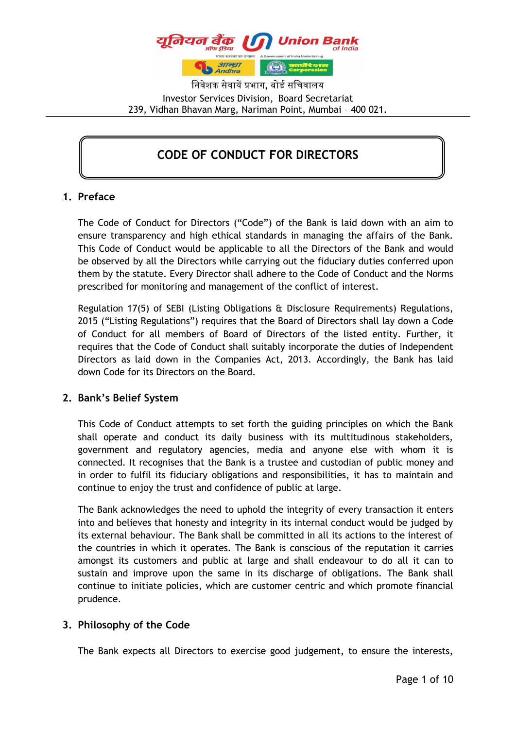

निवेशक सेवायें प्रभाग**,** बोर्ड सनिवालय Investor Services Division, Board Secretariat 239, Vidhan Bhavan Marg, Nariman Point, Mumbai – 400 021.

## **CODE OF CONDUCT FOR DIRECTORS**

### **1. Preface**

The Code of Conduct for Directors ("Code") of the Bank is laid down with an aim to ensure transparency and high ethical standards in managing the affairs of the Bank. This Code of Conduct would be applicable to all the Directors of the Bank and would be observed by all the Directors while carrying out the fiduciary duties conferred upon them by the statute. Every Director shall adhere to the Code of Conduct and the Norms prescribed for monitoring and management of the conflict of interest.

Regulation 17(5) of SEBI (Listing Obligations & Disclosure Requirements) Regulations, 2015 ("Listing Regulations") requires that the Board of Directors shall lay down a Code of Conduct for all members of Board of Directors of the listed entity. Further, it requires that the Code of Conduct shall suitably incorporate the duties of Independent Directors as laid down in the Companies Act, 2013. Accordingly, the Bank has laid down Code for its Directors on the Board.

### **2. Bank's Belief System**

This Code of Conduct attempts to set forth the guiding principles on which the Bank shall operate and conduct its daily business with its multitudinous stakeholders, government and regulatory agencies, media and anyone else with whom it is connected. It recognises that the Bank is a trustee and custodian of public money and in order to fulfil its fiduciary obligations and responsibilities, it has to maintain and continue to enjoy the trust and confidence of public at large.

The Bank acknowledges the need to uphold the integrity of every transaction it enters into and believes that honesty and integrity in its internal conduct would be judged by its external behaviour. The Bank shall be committed in all its actions to the interest of the countries in which it operates. The Bank is conscious of the reputation it carries amongst its customers and public at large and shall endeavour to do all it can to sustain and improve upon the same in its discharge of obligations. The Bank shall continue to initiate policies, which are customer centric and which promote financial prudence.

### **3. Philosophy of the Code**

The Bank expects all Directors to exercise good judgement, to ensure the interests,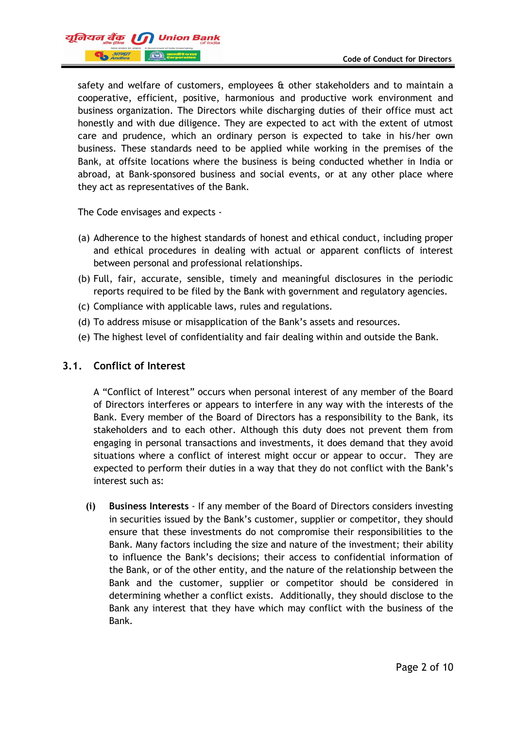

safety and welfare of customers, employees & other stakeholders and to maintain a cooperative, efficient, positive, harmonious and productive work environment and business organization. The Directors while discharging duties of their office must act honestly and with due diligence. They are expected to act with the extent of utmost care and prudence, which an ordinary person is expected to take in his/her own business. These standards need to be applied while working in the premises of the Bank, at offsite locations where the business is being conducted whether in India or abroad, at Bank-sponsored business and social events, or at any other place where they act as representatives of the Bank.

The Code envisages and expects -

- (a) Adherence to the highest standards of honest and ethical conduct, including proper and ethical procedures in dealing with actual or apparent conflicts of interest between personal and professional relationships.
- (b) Full, fair, accurate, sensible, timely and meaningful disclosures in the periodic reports required to be filed by the Bank with government and regulatory agencies.
- (c) Compliance with applicable laws, rules and regulations.
- (d) To address misuse or misapplication of the Bank's assets and resources.
- (e) The highest level of confidentiality and fair dealing within and outside the Bank.

#### **3.1. Conflict of Interest**

A "Conflict of Interest" occurs when personal interest of any member of the Board of Directors interferes or appears to interfere in any way with the interests of the Bank. Every member of the Board of Directors has a responsibility to the Bank, its stakeholders and to each other. Although this duty does not prevent them from engaging in personal transactions and investments, it does demand that they avoid situations where a conflict of interest might occur or appear to occur. They are expected to perform their duties in a way that they do not conflict with the Bank's interest such as:

**(i) Business Interests** - If any member of the Board of Directors considers investing in securities issued by the Bank's customer, supplier or competitor, they should ensure that these investments do not compromise their responsibilities to the Bank. Many factors including the size and nature of the investment; their ability to influence the Bank's decisions; their access to confidential information of the Bank, or of the other entity, and the nature of the relationship between the Bank and the customer, supplier or competitor should be considered in determining whether a conflict exists. Additionally, they should disclose to the Bank any interest that they have which may conflict with the business of the Bank.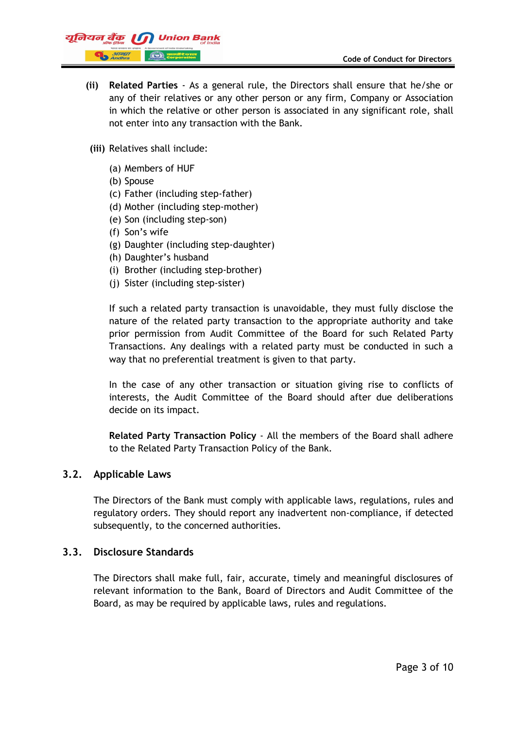

- **(ii) Related Parties**  As a general rule, the Directors shall ensure that he/she or any of their relatives or any other person or any firm, Company or Association in which the relative or other person is associated in any significant role, shall not enter into any transaction with the Bank.
- **(iii)** Relatives shall include:
	- (a) Members of HUF
	- (b) Spouse
	- (c) Father (including step-father)
	- (d) Mother (including step-mother)
	- (e) Son (including step-son)
	- (f) Son's wife
	- (g) Daughter (including step-daughter)
	- (h) Daughter's husband
	- (i) Brother (including step-brother)
	- (j) Sister (including step-sister)

If such a related party transaction is unavoidable, they must fully disclose the nature of the related party transaction to the appropriate authority and take prior permission from Audit Committee of the Board for such Related Party Transactions. Any dealings with a related party must be conducted in such a way that no preferential treatment is given to that party.

In the case of any other transaction or situation giving rise to conflicts of interests, the Audit Committee of the Board should after due deliberations decide on its impact.

**Related Party Transaction Policy** - All the members of the Board shall adhere to the Related Party Transaction Policy of the Bank.

#### **3.2. Applicable Laws**

The Directors of the Bank must comply with applicable laws, regulations, rules and regulatory orders. They should report any inadvertent non-compliance, if detected subsequently, to the concerned authorities.

#### **3.3. Disclosure Standards**

The Directors shall make full, fair, accurate, timely and meaningful disclosures of relevant information to the Bank, Board of Directors and Audit Committee of the Board, as may be required by applicable laws, rules and regulations.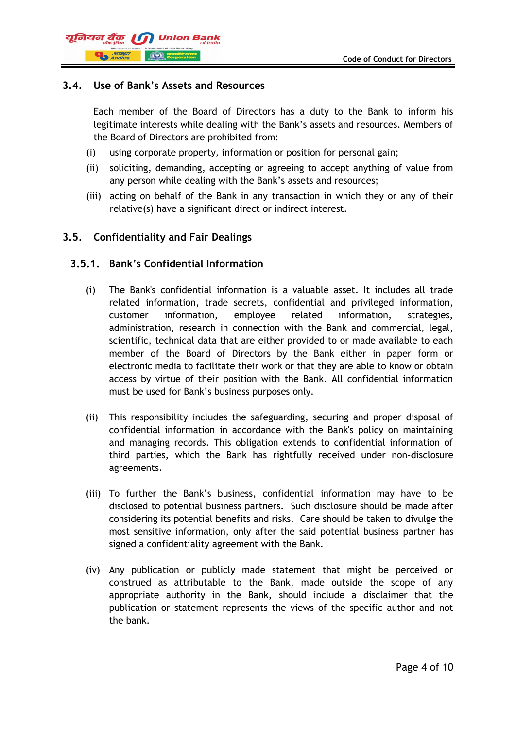## यूनियन बैंक ।। **Canadian** *317697*

## **3.4. Use of Bank's Assets and Resources**

Each member of the Board of Directors has a duty to the Bank to inform his legitimate interests while dealing with the Bank's assets and resources. Members of the Board of Directors are prohibited from:

- (i) using corporate property, information or position for personal gain;
- (ii) soliciting, demanding, accepting or agreeing to accept anything of value from any person while dealing with the Bank's assets and resources;
- (iii) acting on behalf of the Bank in any transaction in which they or any of their relative(s) have a significant direct or indirect interest.

## **3.5. Confidentiality and Fair Dealings**

### **3.5.1. Bank's Confidential Information**

- (i) The Bank's confidential information is a valuable asset. It includes all trade related information, trade secrets, confidential and privileged information, customer information, employee related information, strategies, administration, research in connection with the Bank and commercial, legal, scientific, technical data that are either provided to or made available to each member of the Board of Directors by the Bank either in paper form or electronic media to facilitate their work or that they are able to know or obtain access by virtue of their position with the Bank. All confidential information must be used for Bank's business purposes only.
- (ii) This responsibility includes the safeguarding, securing and proper disposal of confidential information in accordance with the Bank's policy on maintaining and managing records. This obligation extends to confidential information of third parties, which the Bank has rightfully received under non-disclosure agreements.
- (iii) To further the Bank's business, confidential information may have to be disclosed to potential business partners. Such disclosure should be made after considering its potential benefits and risks. Care should be taken to divulge the most sensitive information, only after the said potential business partner has signed a confidentiality agreement with the Bank.
- (iv) Any publication or publicly made statement that might be perceived or construed as attributable to the Bank, made outside the scope of any appropriate authority in the Bank, should include a disclaimer that the publication or statement represents the views of the specific author and not the bank.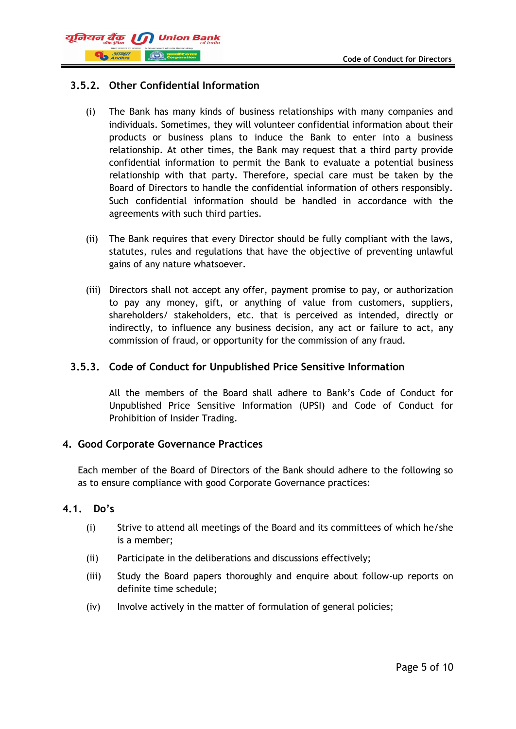

## **3.5.2. Other Confidential Information**

- (i) The Bank has many kinds of business relationships with many companies and individuals. Sometimes, they will volunteer confidential information about their products or business plans to induce the Bank to enter into a business relationship. At other times, the Bank may request that a third party provide confidential information to permit the Bank to evaluate a potential business relationship with that party. Therefore, special care must be taken by the Board of Directors to handle the confidential information of others responsibly. Such confidential information should be handled in accordance with the agreements with such third parties.
- (ii) The Bank requires that every Director should be fully compliant with the laws, statutes, rules and regulations that have the objective of preventing unlawful gains of any nature whatsoever.
- (iii) Directors shall not accept any offer, payment promise to pay, or authorization to pay any money, gift, or anything of value from customers, suppliers, shareholders/ stakeholders, etc. that is perceived as intended, directly or indirectly, to influence any business decision, any act or failure to act, any commission of fraud, or opportunity for the commission of any fraud.

### **3.5.3. Code of Conduct for Unpublished Price Sensitive Information**

All the members of the Board shall adhere to Bank's Code of Conduct for Unpublished Price Sensitive Information (UPSI) and Code of Conduct for Prohibition of Insider Trading.

### **4. Good Corporate Governance Practices**

Each member of the Board of Directors of the Bank should adhere to the following so as to ensure compliance with good Corporate Governance practices:

### **4.1. Do's**

- (i) Strive to attend all meetings of the Board and its committees of which he/she is a member;
- (ii) Participate in the deliberations and discussions effectively;
- (iii) Study the Board papers thoroughly and enquire about follow-up reports on definite time schedule;
- (iv) Involve actively in the matter of formulation of general policies;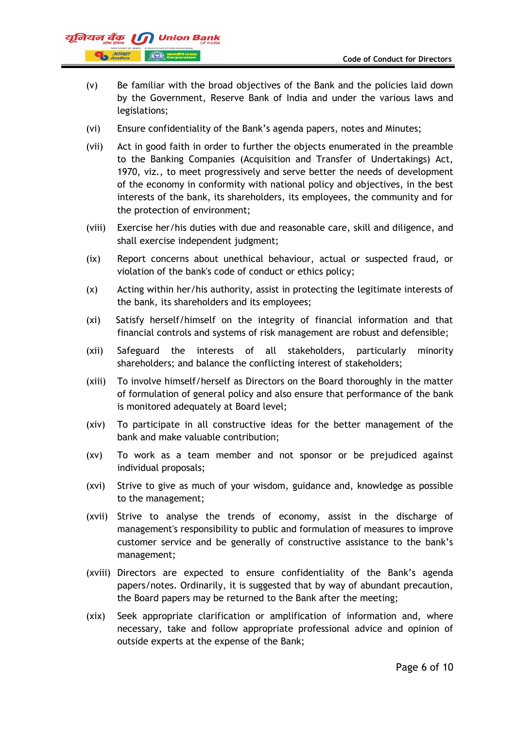

- (v) Be familiar with the broad objectives of the Bank and the policies laid down by the Government, Reserve Bank of India and under the various laws and legislations;
- (vi) Ensure confidentiality of the Bank's agenda papers, notes and Minutes;
- (vii) Act in good faith in order to further the objects enumerated in the preamble to the Banking Companies (Acquisition and Transfer of Undertakings) Act, 1970, viz., to meet progressively and serve better the needs of development of the economy in conformity with national policy and objectives, in the best interests of the bank, its shareholders, its employees, the community and for the protection of environment;
- (viii) Exercise her/his duties with due and reasonable care, skill and diligence, and shall exercise independent judgment;
- (ix) Report concerns about unethical behaviour, actual or suspected fraud, or violation of the bank's code of conduct or ethics policy;
- (x) Acting within her/his authority, assist in protecting the legitimate interests of the bank, its shareholders and its employees;
- (xi) Satisfy herself/himself on the integrity of financial information and that financial controls and systems of risk management are robust and defensible;
- (xii) Safeguard the interests of all stakeholders, particularly minority shareholders; and balance the conflicting interest of stakeholders;
- (xiii) To involve himself/herself as Directors on the Board thoroughly in the matter of formulation of general policy and also ensure that performance of the bank is monitored adequately at Board level;
- (xiv) To participate in all constructive ideas for the better management of the bank and make valuable contribution;
- (xv) To work as a team member and not sponsor or be prejudiced against individual proposals;
- (xvi) Strive to give as much of your wisdom, guidance and, knowledge as possible to the management;
- (xvii) Strive to analyse the trends of economy, assist in the discharge of management's responsibility to public and formulation of measures to improve customer service and be generally of constructive assistance to the bank's management;
- (xviii) Directors are expected to ensure confidentiality of the Bank's agenda papers/notes. Ordinarily, it is suggested that by way of abundant precaution, the Board papers may be returned to the Bank after the meeting;
- (xix) Seek appropriate clarification or amplification of information and, where necessary, take and follow appropriate professional advice and opinion of outside experts at the expense of the Bank;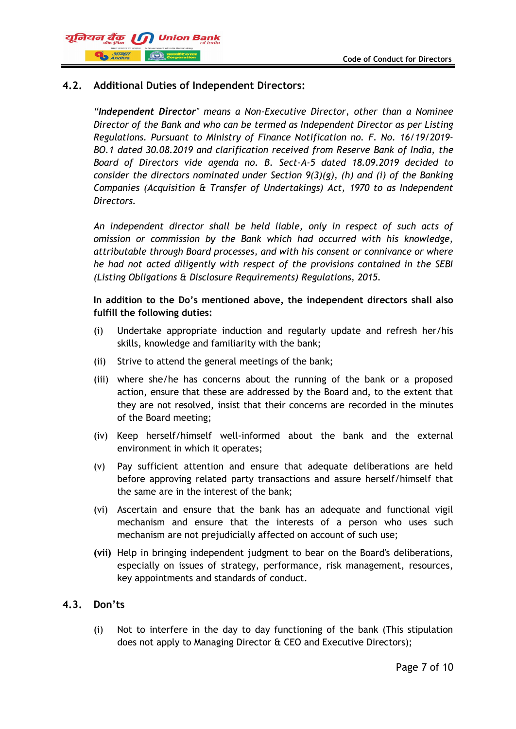## यूनियन बैंक ।। **B**<br>**B** Andhra

## **4.2. Additional Duties of Independent Directors:**

*"Independent Director" means a Non-Executive Director, other than a Nominee Director of the Bank and who can be termed as Independent Director as per Listing Regulations. Pursuant to Ministry of Finance Notification no. F. No. 16/19/2019- BO.1 dated 30.08.2019 and clarification received from Reserve Bank of India, the Board of Directors vide agenda no. B. Sect-A-5 dated 18.09.2019 decided to consider the directors nominated under Section 9(3)(g), (h) and (i) of the Banking Companies (Acquisition & Transfer of Undertakings) Act, 1970 to as Independent Directors.*

*An independent director shall be held liable, only in respect of such acts of omission or commission by the Bank which had occurred with his knowledge, attributable through Board processes, and with his consent or connivance or where he had not acted diligently with respect of the provisions contained in the SEBI (Listing Obligations & Disclosure Requirements) Regulations, 2015.*

#### **In addition to the Do's mentioned above, the independent directors shall also fulfill the following duties:**

- (i) Undertake appropriate induction and regularly update and refresh her/his skills, knowledge and familiarity with the bank;
- (ii) Strive to attend the general meetings of the bank;
- (iii) where she/he has concerns about the running of the bank or a proposed action, ensure that these are addressed by the Board and, to the extent that they are not resolved, insist that their concerns are recorded in the minutes of the Board meeting;
- (iv) Keep herself/himself well-informed about the bank and the external environment in which it operates;
- (v) Pay sufficient attention and ensure that adequate deliberations are held before approving related party transactions and assure herself/himself that the same are in the interest of the bank;
- (vi) Ascertain and ensure that the bank has an adequate and functional vigil mechanism and ensure that the interests of a person who uses such mechanism are not prejudicially affected on account of such use;
- **(vii)** Help in bringing independent judgment to bear on the Board's deliberations, especially on issues of strategy, performance, risk management, resources, key appointments and standards of conduct.

### **4.3. Don'ts**

(i) Not to interfere in the day to day functioning of the bank (This stipulation does not apply to Managing Director & CEO and Executive Directors);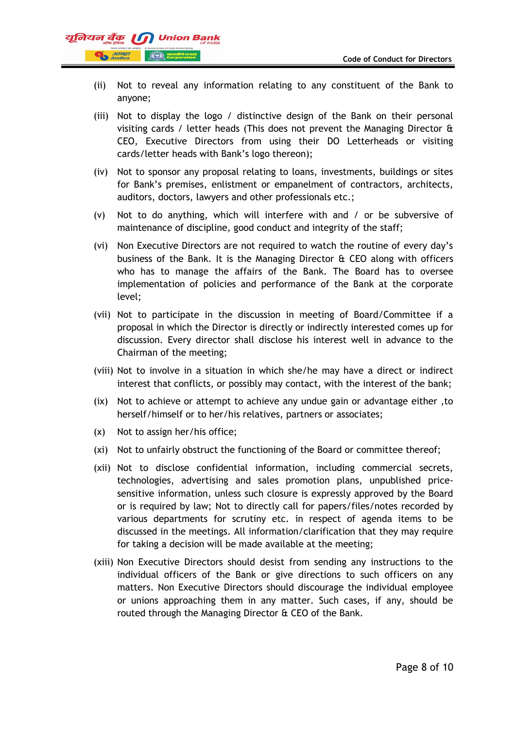

- (ii) Not to reveal any information relating to any constituent of the Bank to anyone;
- (iii) Not to display the logo / distinctive design of the Bank on their personal visiting cards / letter heads (This does not prevent the Managing Director & CEO, Executive Directors from using their DO Letterheads or visiting cards/letter heads with Bank's logo thereon);
- (iv) Not to sponsor any proposal relating to loans, investments, buildings or sites for Bank's premises, enlistment or empanelment of contractors, architects, auditors, doctors, lawyers and other professionals etc.;
- (v) Not to do anything, which will interfere with and / or be subversive of maintenance of discipline, good conduct and integrity of the staff;
- (vi) Non Executive Directors are not required to watch the routine of every day's business of the Bank. It is the Managing Director & CEO along with officers who has to manage the affairs of the Bank. The Board has to oversee implementation of policies and performance of the Bank at the corporate level;
- (vii) Not to participate in the discussion in meeting of Board/Committee if a proposal in which the Director is directly or indirectly interested comes up for discussion. Every director shall disclose his interest well in advance to the Chairman of the meeting;
- (viii) Not to involve in a situation in which she/he may have a direct or indirect interest that conflicts, or possibly may contact, with the interest of the bank;
- (ix) Not to achieve or attempt to achieve any undue gain or advantage either ,to herself/himself or to her/his relatives, partners or associates;
- (x) Not to assign her/his office;
- (xi) Not to unfairly obstruct the functioning of the Board or committee thereof;
- (xii) Not to disclose confidential information, including commercial secrets, technologies, advertising and sales promotion plans, unpublished pricesensitive information, unless such closure is expressly approved by the Board or is required by law; Not to directly call for papers/files/notes recorded by various departments for scrutiny etc. in respect of agenda items to be discussed in the meetings. All information/clarification that they may require for taking a decision will be made available at the meeting;
- (xiii) Non Executive Directors should desist from sending any instructions to the individual officers of the Bank or give directions to such officers on any matters. Non Executive Directors should discourage the individual employee or unions approaching them in any matter. Such cases, if any, should be routed through the Managing Director & CEO of the Bank.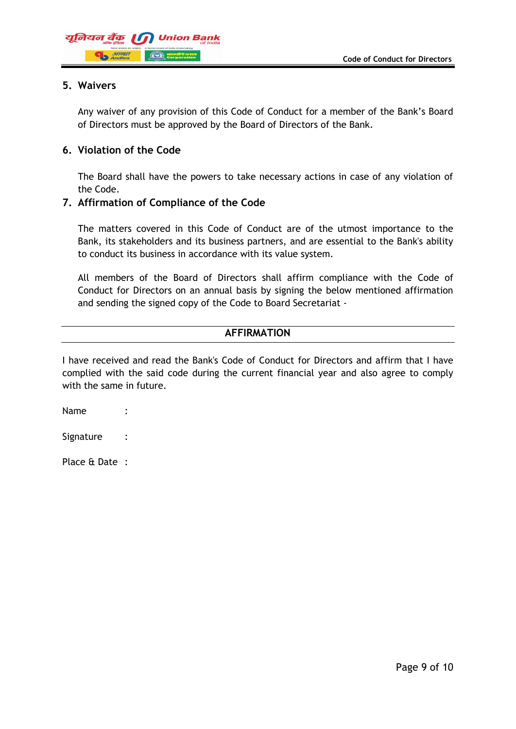

#### **5. Waivers**

Any waiver of any provision of this Code of Conduct for a member of the Bank's Board of Directors must be approved by the Board of Directors of the Bank.

#### **6. Violation of the Code**

The Board shall have the powers to take necessary actions in case of any violation of the Code.

#### **7. Affirmation of Compliance of the Code**

The matters covered in this Code of Conduct are of the utmost importance to the Bank, its stakeholders and its business partners, and are essential to the Bank's ability to conduct its business in accordance with its value system.

All members of the Board of Directors shall affirm compliance with the Code of Conduct for Directors on an annual basis by signing the below mentioned affirmation and sending the signed copy of the Code to Board Secretariat -

#### **AFFIRMATION**

I have received and read the Bank's Code of Conduct for Directors and affirm that I have complied with the said code during the current financial year and also agree to comply with the same in future.

| Name      |  |
|-----------|--|
| Signature |  |

Place & Date :